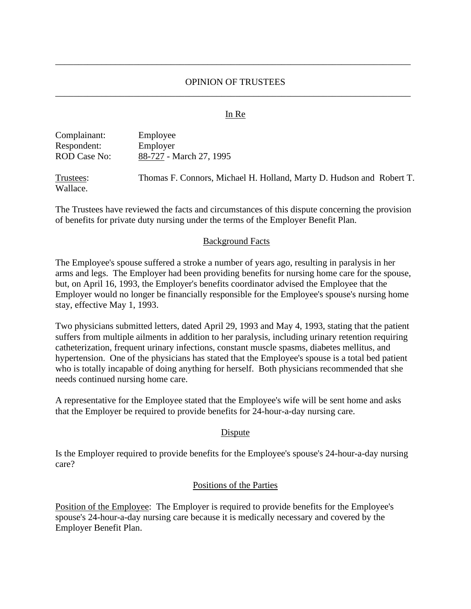## OPINION OF TRUSTEES \_\_\_\_\_\_\_\_\_\_\_\_\_\_\_\_\_\_\_\_\_\_\_\_\_\_\_\_\_\_\_\_\_\_\_\_\_\_\_\_\_\_\_\_\_\_\_\_\_\_\_\_\_\_\_\_\_\_\_\_\_\_\_\_\_\_\_\_\_\_\_\_\_\_\_\_\_

\_\_\_\_\_\_\_\_\_\_\_\_\_\_\_\_\_\_\_\_\_\_\_\_\_\_\_\_\_\_\_\_\_\_\_\_\_\_\_\_\_\_\_\_\_\_\_\_\_\_\_\_\_\_\_\_\_\_\_\_\_\_\_\_\_\_\_\_\_\_\_\_\_\_\_\_\_

### In Re

| Complainant: | Employee                |
|--------------|-------------------------|
| Respondent:  | Employer                |
| ROD Case No: | 88-727 - March 27, 1995 |
|              |                         |

Trustees: Thomas F. Connors, Michael H. Holland, Marty D. Hudson and Robert T. Wallace.

The Trustees have reviewed the facts and circumstances of this dispute concerning the provision of benefits for private duty nursing under the terms of the Employer Benefit Plan.

#### Background Facts

The Employee's spouse suffered a stroke a number of years ago, resulting in paralysis in her arms and legs. The Employer had been providing benefits for nursing home care for the spouse, but, on April 16, 1993, the Employer's benefits coordinator advised the Employee that the Employer would no longer be financially responsible for the Employee's spouse's nursing home stay, effective May 1, 1993.

Two physicians submitted letters, dated April 29, 1993 and May 4, 1993, stating that the patient suffers from multiple ailments in addition to her paralysis, including urinary retention requiring catheterization, frequent urinary infections, constant muscle spasms, diabetes mellitus, and hypertension. One of the physicians has stated that the Employee's spouse is a total bed patient who is totally incapable of doing anything for herself. Both physicians recommended that she needs continued nursing home care.

A representative for the Employee stated that the Employee's wife will be sent home and asks that the Employer be required to provide benefits for 24-hour-a-day nursing care.

#### Dispute

Is the Employer required to provide benefits for the Employee's spouse's 24-hour-a-day nursing care?

#### Positions of the Parties

Position of the Employee: The Employer is required to provide benefits for the Employee's spouse's 24-hour-a-day nursing care because it is medically necessary and covered by the Employer Benefit Plan.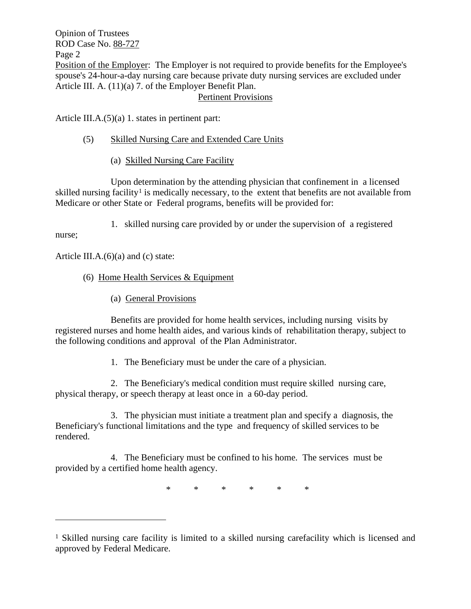Opinion of Trustees ROD Case No. 88-727 Page 2 Position of the Employer: The Employer is not required to provide benefits for the Employee's spouse's 24-hour-a-day nursing care because private duty nursing services are excluded under Article III. A. (11)(a) 7. of the Employer Benefit Plan. Pertinent Provisions

Article III.A.(5)(a) 1. states in pertinent part:

## (5) Skilled Nursing Care and Extended Care Units

(a) Skilled Nursing Care Facility

Upon determination by the attending physician that confinement in a licensed skilled nursing facility<sup>[1](#page-1-0)</sup> is medically necessary, to the extent that benefits are not available from Medicare or other State or Federal programs, benefits will be provided for:

1. skilled nursing care provided by or under the supervision of a registered

nurse;

Article III.A. $(6)(a)$  and  $(c)$  state:

# (6) Home Health Services & Equipment

(a) General Provisions

Benefits are provided for home health services, including nursing visits by registered nurses and home health aides, and various kinds of rehabilitation therapy, subject to the following conditions and approval of the Plan Administrator.

1. The Beneficiary must be under the care of a physician.

2. The Beneficiary's medical condition must require skilled nursing care, physical therapy, or speech therapy at least once in a 60-day period.

3. The physician must initiate a treatment plan and specify a diagnosis, the Beneficiary's functional limitations and the type and frequency of skilled services to be rendered.

4. The Beneficiary must be confined to his home. The services must be provided by a certified home health agency.

\* \* \* \* \* \*

<span id="page-1-0"></span><sup>1</sup> Skilled nursing care facility is limited to a skilled nursing carefacility which is licensed and approved by Federal Medicare.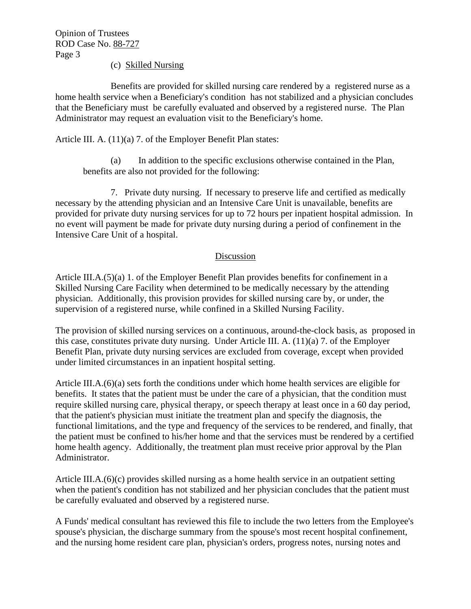Opinion of Trustees ROD Case No. 88-727 Page 3

(c) Skilled Nursing

Benefits are provided for skilled nursing care rendered by a registered nurse as a home health service when a Beneficiary's condition has not stabilized and a physician concludes that the Beneficiary must be carefully evaluated and observed by a registered nurse. The Plan Administrator may request an evaluation visit to the Beneficiary's home.

Article III. A. (11)(a) 7. of the Employer Benefit Plan states:

(a) In addition to the specific exclusions otherwise contained in the Plan, benefits are also not provided for the following:

7. Private duty nursing. If necessary to preserve life and certified as medically necessary by the attending physician and an Intensive Care Unit is unavailable, benefits are provided for private duty nursing services for up to 72 hours per inpatient hospital admission. In no event will payment be made for private duty nursing during a period of confinement in the Intensive Care Unit of a hospital.

## Discussion

Article III.A.(5)(a) 1. of the Employer Benefit Plan provides benefits for confinement in a Skilled Nursing Care Facility when determined to be medically necessary by the attending physician. Additionally, this provision provides for skilled nursing care by, or under, the supervision of a registered nurse, while confined in a Skilled Nursing Facility.

The provision of skilled nursing services on a continuous, around-the-clock basis, as proposed in this case, constitutes private duty nursing. Under Article III. A. (11)(a) 7. of the Employer Benefit Plan, private duty nursing services are excluded from coverage, except when provided under limited circumstances in an inpatient hospital setting.

Article III.A.(6)(a) sets forth the conditions under which home health services are eligible for benefits. It states that the patient must be under the care of a physician, that the condition must require skilled nursing care, physical therapy, or speech therapy at least once in a 60 day period, that the patient's physician must initiate the treatment plan and specify the diagnosis, the functional limitations, and the type and frequency of the services to be rendered, and finally, that the patient must be confined to his/her home and that the services must be rendered by a certified home health agency. Additionally, the treatment plan must receive prior approval by the Plan Administrator.

Article III.A.(6)(c) provides skilled nursing as a home health service in an outpatient setting when the patient's condition has not stabilized and her physician concludes that the patient must be carefully evaluated and observed by a registered nurse.

A Funds' medical consultant has reviewed this file to include the two letters from the Employee's spouse's physician, the discharge summary from the spouse's most recent hospital confinement, and the nursing home resident care plan, physician's orders, progress notes, nursing notes and